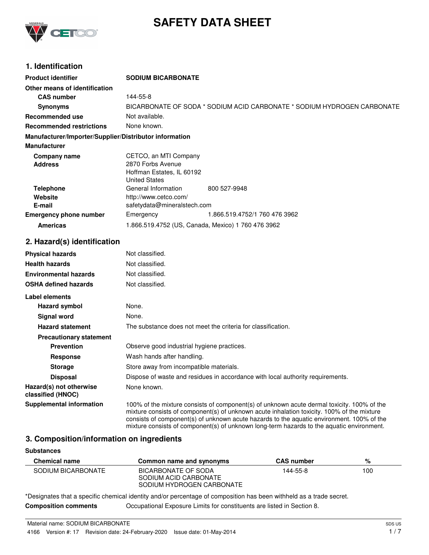

# **SAFETY DATA SHEET**

## **1. Identification**

| <b>Product identifier</b>                              | <b>SODIUM BICARBONATE</b>                                    |                                                                                |
|--------------------------------------------------------|--------------------------------------------------------------|--------------------------------------------------------------------------------|
| Other means of identification                          |                                                              |                                                                                |
| <b>CAS number</b>                                      | 144-55-8                                                     |                                                                                |
| <b>Synonyms</b>                                        |                                                              | BICARBONATE OF SODA * SODIUM ACID CARBONATE * SODIUM HYDROGEN CARBONATE        |
| <b>Recommended use</b>                                 | Not available.                                               |                                                                                |
| <b>Recommended restrictions</b>                        | None known.                                                  |                                                                                |
| Manufacturer/Importer/Supplier/Distributor information |                                                              |                                                                                |
| <b>Manufacturer</b>                                    |                                                              |                                                                                |
| <b>Company name</b>                                    | CETCO, an MTI Company                                        |                                                                                |
| <b>Address</b>                                         | 2870 Forbs Avenue                                            |                                                                                |
|                                                        | Hoffman Estates, IL 60192                                    |                                                                                |
|                                                        | <b>United States</b><br>General Information                  | 800 527-9948                                                                   |
| <b>Telephone</b><br>Website                            | http://www.cetco.com/                                        |                                                                                |
| E-mail                                                 | safetydata@mineralstech.com                                  |                                                                                |
| <b>Emergency phone number</b>                          | Emergency                                                    | 1.866.519.4752/1 760 476 3962                                                  |
| <b>Americas</b>                                        | 1.866.519.4752 (US, Canada, Mexico) 1 760 476 3962           |                                                                                |
|                                                        |                                                              |                                                                                |
| 2. Hazard(s) identification                            |                                                              |                                                                                |
| <b>Physical hazards</b>                                | Not classified.                                              |                                                                                |
| <b>Health hazards</b>                                  | Not classified.                                              |                                                                                |
| <b>Environmental hazards</b>                           | Not classified.                                              |                                                                                |
| <b>OSHA defined hazards</b>                            | Not classified.                                              |                                                                                |
| Label elements                                         |                                                              |                                                                                |
| <b>Hazard symbol</b>                                   | None.                                                        |                                                                                |
| <b>Signal word</b>                                     | None.                                                        |                                                                                |
| <b>Hazard statement</b>                                | The substance does not meet the criteria for classification. |                                                                                |
| <b>Precautionary statement</b>                         |                                                              |                                                                                |
| <b>Prevention</b>                                      | Observe good industrial hygiene practices.                   |                                                                                |
| <b>Response</b>                                        | Wash hands after handling.                                   |                                                                                |
| <b>Storage</b>                                         | Store away from incompatible materials.                      |                                                                                |
| <b>Disposal</b>                                        |                                                              | Dispose of waste and residues in accordance with local authority requirements. |
| Hazard(s) not otherwise<br>classified (HNOC)           | None known.                                                  |                                                                                |

**Supplemental information** 100% of the mixture consists of component(s) of unknown acute dermal toxicity. 100% of the mixture consists of component(s) of unknown acute inhalation toxicity. 100% of the mixture consists of component(s) of unknown acute hazards to the aquatic environment. 100% of the mixture consists of component(s) of unknown long-term hazards to the aquatic environment.

## **3. Composition/information on ingredients**

| <b>Substances</b>    |                                                                           |                   |     |
|----------------------|---------------------------------------------------------------------------|-------------------|-----|
| <b>Chemical name</b> | Common name and synonyms                                                  | <b>CAS number</b> | %   |
| SODIUM BICARBONATE   | BICARBONATE OF SODA<br>SODIUM ACID CARBONATE<br>SODIUM HYDROGEN CARBONATE | 144-55-8          | 100 |

\*Designates that a specific chemical identity and/or percentage of composition has been withheld as a trade secret. **Composition comments** Occupational Exposure Limits for constituents are listed in Section 8.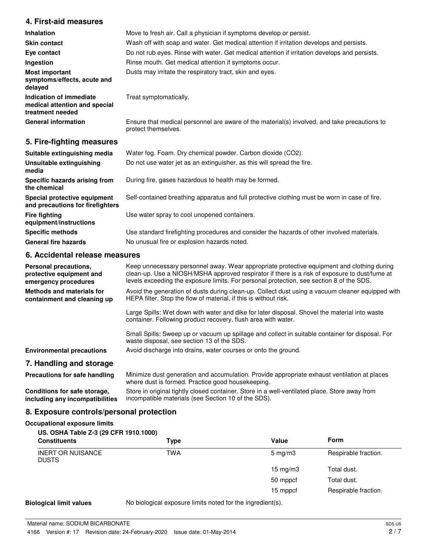## **4. First-aid measures**

| <b>Inhalation</b>                                                            | Move to fresh air. Call a physician if symptoms develop or persist.                                                 |  |
|------------------------------------------------------------------------------|---------------------------------------------------------------------------------------------------------------------|--|
| <b>Skin contact</b>                                                          | Wash off with soap and water. Get medical attention if irritation develops and persists.                            |  |
| Eye contact                                                                  | Do not rub eyes. Rinse with water. Get medical attention if irritation develops and persists.                       |  |
| Ingestion                                                                    | Rinse mouth. Get medical attention if symptoms occur.                                                               |  |
| Most important<br>symptoms/effects, acute and<br>delayed                     | Dusts may irritate the respiratory tract, skin and eyes.                                                            |  |
| Indication of immediate<br>medical attention and special<br>treatment needed | Treat symptomatically.                                                                                              |  |
| <b>General information</b>                                                   | Ensure that medical personnel are aware of the material(s) involved, and take precautions to<br>protect themselves. |  |

## **5. Fire-fighting measures**

| Suitable extinguishing media                                     | Water fog. Foam. Dry chemical powder. Carbon dioxide (CO2).                                   |
|------------------------------------------------------------------|-----------------------------------------------------------------------------------------------|
| Unsuitable extinguishing<br>media                                | Do not use water jet as an extinguisher, as this will spread the fire.                        |
| Specific hazards arising from<br>the chemical                    | During fire, gases hazardous to health may be formed.                                         |
| Special protective equipment<br>and precautions for firefighters | Self-contained breathing apparatus and full protective clothing must be worn in case of fire. |
| <b>Fire fighting</b><br>equipment/instructions                   | Use water spray to cool unopened containers.                                                  |
| <b>Specific methods</b>                                          | Use standard firefighting procedures and consider the hazards of other involved materials.    |
| <b>General fire hazards</b>                                      | No unusual fire or explosion hazards noted.                                                   |

## **6. Accidental release measures**

| Personal precautions,<br>protective equipment and<br>emergency procedures | Keep unnecessary personnel away. Wear appropriate protective equipment and clothing during<br>clean-up. Use a NIOSH/MSHA approved respirator if there is a risk of exposure to dust/fume at<br>levels exceeding the exposure limits. For personal protection, see section 8 of the SDS. |
|---------------------------------------------------------------------------|-----------------------------------------------------------------------------------------------------------------------------------------------------------------------------------------------------------------------------------------------------------------------------------------|
| Methods and materials for<br>containment and cleaning up                  | Avoid the generation of dusts during clean-up. Collect dust using a vacuum cleaner equipped with<br>HEPA filter. Stop the flow of material, if this is without risk.                                                                                                                    |
|                                                                           | Large Spills: Wet down with water and dike for later disposal. Shovel the material into waste<br>container. Following product recovery, flush area with water.                                                                                                                          |
|                                                                           | Small Spills: Sweep up or vacuum up spillage and collect in suitable container for disposal. For<br>waste disposal, see section 13 of the SDS.                                                                                                                                          |
| <b>Environmental precautions</b>                                          | Avoid discharge into drains, water courses or onto the ground.                                                                                                                                                                                                                          |
| 7. Handling and storage                                                   |                                                                                                                                                                                                                                                                                         |
| Precautions for safe handling                                             | Minimize dust generation and accumulation. Provide appropriate exhaust ventilation at places<br>where dust is formed. Practice good housekeeping.                                                                                                                                       |

Store in original tightly closed container. Store in a well-ventilated place. Store away from incompatible materials (see Section 10 of the SDS). **Conditions for safe storage, including any incompatibilities**

## **8. Exposure controls/personal protection**

## **Occupational exposure limits**

|  |  | US. OSHA Table Z-3 (29 CFR 1910.1000) |
|--|--|---------------------------------------|
|  |  |                                       |

| <b>Constituents</b>                      | Type | Value              | <b>Form</b>          |
|------------------------------------------|------|--------------------|----------------------|
| <b>INERT OR NUISANCE</b><br><b>DUSTS</b> | TWA  | $5 \text{ mg/m}$ 3 | Respirable fraction. |
|                                          |      | 15 mg/m $3$        | Total dust.          |
|                                          |      | 50 mppcf           | Total dust.          |
|                                          |      | 15 mppcf           | Respirable fraction. |

**Biological limit values** No biological exposure limits noted for the ingredient(s).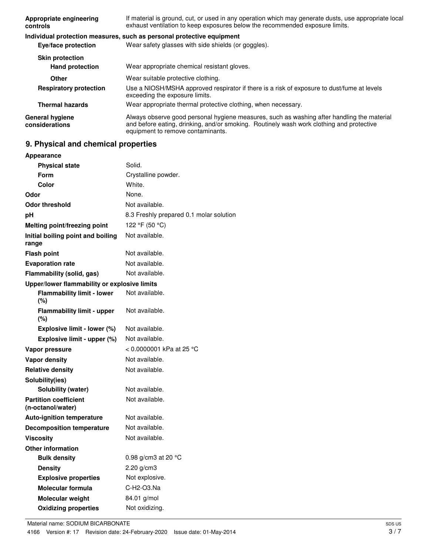| Appropriate engineering<br>controls              | If material is ground, cut, or used in any operation which may generate dusts, use appropriate local<br>exhaust ventilation to keep exposures below the recommended exposure limits.                                        |  |
|--------------------------------------------------|-----------------------------------------------------------------------------------------------------------------------------------------------------------------------------------------------------------------------------|--|
|                                                  | Individual protection measures, such as personal protective equipment                                                                                                                                                       |  |
| Eye/face protection                              | Wear safety glasses with side shields (or goggles).                                                                                                                                                                         |  |
| <b>Skin protection</b><br><b>Hand protection</b> | Wear appropriate chemical resistant gloves.                                                                                                                                                                                 |  |
| <b>Other</b>                                     | Wear suitable protective clothing.                                                                                                                                                                                          |  |
| <b>Respiratory protection</b>                    | Use a NIOSH/MSHA approved respirator if there is a risk of exposure to dust/fume at levels<br>exceeding the exposure limits.                                                                                                |  |
| <b>Thermal hazards</b>                           | Wear appropriate thermal protective clothing, when necessary.                                                                                                                                                               |  |
| <b>General hygiene</b><br>considerations         | Always observe good personal hygiene measures, such as washing after handling the material<br>and before eating, drinking, and/or smoking. Routinely wash work clothing and protective<br>equipment to remove contaminants. |  |

## **9. Physical and chemical properties**

| Appearance                                        |                                         |
|---------------------------------------------------|-----------------------------------------|
| <b>Physical state</b>                             | Solid.                                  |
| Form                                              | Crystalline powder.                     |
| Color                                             | White.                                  |
| Odor                                              | None.                                   |
| <b>Odor threshold</b>                             | Not available.                          |
| рH                                                | 8.3 Freshly prepared 0.1 molar solution |
| <b>Melting point/freezing point</b>               | 122 °F (50 °C)                          |
| Initial boiling point and boiling<br>range        | Not available.                          |
| <b>Flash point</b>                                | Not available.                          |
| <b>Evaporation rate</b>                           | Not available.                          |
| Flammability (solid, gas)                         | Not available.                          |
| Upper/lower flammability or explosive limits      |                                         |
| <b>Flammability limit - lower</b><br>(%)          | Not available.                          |
| <b>Flammability limit - upper</b><br>(%)          | Not available.                          |
| Explosive limit - lower (%)                       | Not available.                          |
| Explosive limit - upper (%)                       | Not available.                          |
| Vapor pressure                                    | < 0.0000001 kPa at 25 °C                |
| <b>Vapor density</b>                              | Not available.                          |
| <b>Relative density</b>                           | Not available.                          |
| Solubility(ies)                                   |                                         |
| Solubility (water)                                | Not available.                          |
| <b>Partition coefficient</b><br>(n-octanol/water) | Not available.                          |
| <b>Auto-ignition temperature</b>                  | Not available.                          |
| <b>Decomposition temperature</b>                  | Not available.                          |
| <b>Viscosity</b>                                  | Not available.                          |
| <b>Other information</b>                          |                                         |
| <b>Bulk density</b>                               | 0.98 g/cm3 at 20 °C                     |
| <b>Density</b>                                    | $2.20$ g/cm3                            |
| <b>Explosive properties</b>                       | Not explosive.                          |
| <b>Molecular formula</b>                          | C-H2-O3.Na                              |
| <b>Molecular weight</b>                           | 84.01 g/mol                             |
| <b>Oxidizing properties</b>                       | Not oxidizing.                          |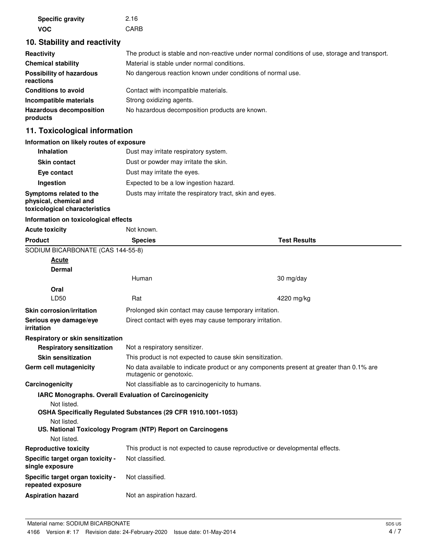| <b>Specific gravity</b> | 2.16 |
|-------------------------|------|
| VOC.                    | CARB |

## **10. Stability and reactivity**

| Reactivity                                   | The product is stable and non-reactive under normal conditions of use, storage and transport. |
|----------------------------------------------|-----------------------------------------------------------------------------------------------|
| <b>Chemical stability</b>                    | Material is stable under normal conditions.                                                   |
| <b>Possibility of hazardous</b><br>reactions | No dangerous reaction known under conditions of normal use.                                   |
| <b>Conditions to avoid</b>                   | Contact with incompatible materials.                                                          |
| Incompatible materials                       | Strong oxidizing agents.                                                                      |
| <b>Hazardous decomposition</b><br>products   | No hazardous decomposition products are known.                                                |

## **11. Toxicological information**

### **Information on likely routes of exposure**

| <b>Inhalation</b>                                                                  | Dust may irritate respiratory system.                    |
|------------------------------------------------------------------------------------|----------------------------------------------------------|
| <b>Skin contact</b>                                                                | Dust or powder may irritate the skin.                    |
| Eye contact                                                                        | Dust may irritate the eyes.                              |
| Ingestion                                                                          | Expected to be a low ingestion hazard.                   |
| Symptoms related to the<br>physical, chemical and<br>toxicological characteristics | Dusts may irritate the respiratory tract, skin and eyes. |

#### **Information on toxicological effects**

| <b>Acute toxicity</b>                                 | Not known.                                                                                                          |                     |  |
|-------------------------------------------------------|---------------------------------------------------------------------------------------------------------------------|---------------------|--|
| <b>Product</b>                                        | <b>Species</b>                                                                                                      | <b>Test Results</b> |  |
| SODIUM BICARBONATE (CAS 144-55-8)                     |                                                                                                                     |                     |  |
| Acute                                                 |                                                                                                                     |                     |  |
| Dermal                                                |                                                                                                                     |                     |  |
|                                                       | Human                                                                                                               | 30 mg/day           |  |
| Oral                                                  |                                                                                                                     |                     |  |
| LD50                                                  | Rat                                                                                                                 | 4220 mg/kg          |  |
| <b>Skin corrosion/irritation</b>                      | Prolonged skin contact may cause temporary irritation.                                                              |                     |  |
| Serious eye damage/eye<br>irritation                  | Direct contact with eyes may cause temporary irritation.                                                            |                     |  |
| Respiratory or skin sensitization                     |                                                                                                                     |                     |  |
| <b>Respiratory sensitization</b>                      | Not a respiratory sensitizer.                                                                                       |                     |  |
| <b>Skin sensitization</b>                             | This product is not expected to cause skin sensitization.                                                           |                     |  |
| Germ cell mutagenicity                                | No data available to indicate product or any components present at greater than 0.1% are<br>mutagenic or genotoxic. |                     |  |
| Carcinogenicity                                       | Not classifiable as to carcinogenicity to humans.                                                                   |                     |  |
|                                                       | IARC Monographs. Overall Evaluation of Carcinogenicity                                                              |                     |  |
| Not listed.                                           |                                                                                                                     |                     |  |
|                                                       | OSHA Specifically Regulated Substances (29 CFR 1910.1001-1053)                                                      |                     |  |
| Not listed.                                           |                                                                                                                     |                     |  |
| Not listed.                                           | US. National Toxicology Program (NTP) Report on Carcinogens                                                         |                     |  |
|                                                       |                                                                                                                     |                     |  |
| <b>Reproductive toxicity</b>                          | This product is not expected to cause reproductive or developmental effects.                                        |                     |  |
| Specific target organ toxicity -<br>single exposure   | Not classified.                                                                                                     |                     |  |
| Specific target organ toxicity -<br>repeated exposure | Not classified.                                                                                                     |                     |  |
| <b>Aspiration hazard</b>                              | Not an aspiration hazard.                                                                                           |                     |  |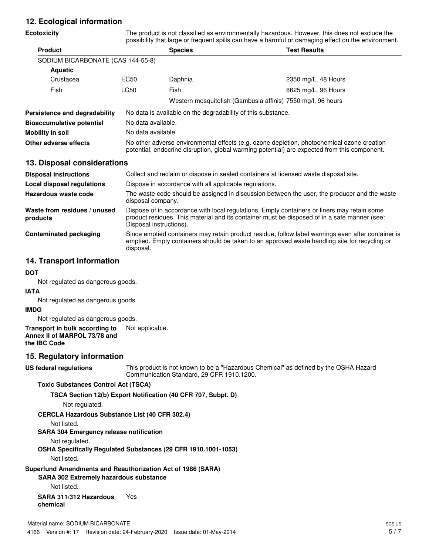## **12. Ecological information**

| <b>Ecotoxicity</b>                       |                                                                                                                                                                                            | The product is not classified as environmentally hazardous. However, this does not exclude the<br>possibility that large or frequent spills can have a harmful or damaging effect on the environment.                  |                                                                                                                                                                                                     |  |
|------------------------------------------|--------------------------------------------------------------------------------------------------------------------------------------------------------------------------------------------|------------------------------------------------------------------------------------------------------------------------------------------------------------------------------------------------------------------------|-----------------------------------------------------------------------------------------------------------------------------------------------------------------------------------------------------|--|
| <b>Product</b>                           |                                                                                                                                                                                            | <b>Species</b>                                                                                                                                                                                                         | <b>Test Results</b>                                                                                                                                                                                 |  |
| SODIUM BICARBONATE (CAS 144-55-8)        |                                                                                                                                                                                            |                                                                                                                                                                                                                        |                                                                                                                                                                                                     |  |
| <b>Aquatic</b>                           |                                                                                                                                                                                            |                                                                                                                                                                                                                        |                                                                                                                                                                                                     |  |
| Crustacea                                | EC50                                                                                                                                                                                       | Daphnia                                                                                                                                                                                                                | 2350 mg/L, 48 Hours                                                                                                                                                                                 |  |
| Fish                                     | <b>LC50</b>                                                                                                                                                                                | Fish                                                                                                                                                                                                                   | 8625 mg/L, 96 Hours                                                                                                                                                                                 |  |
|                                          |                                                                                                                                                                                            | Western mosquitofish (Gambusia affinis) 7550 mg/l, 96 hours                                                                                                                                                            |                                                                                                                                                                                                     |  |
| Persistence and degradability            | No data is available on the degradability of this substance.                                                                                                                               |                                                                                                                                                                                                                        |                                                                                                                                                                                                     |  |
| <b>Bioaccumulative potential</b>         |                                                                                                                                                                                            | No data available.                                                                                                                                                                                                     |                                                                                                                                                                                                     |  |
| <b>Mobility in soil</b>                  | No data available.                                                                                                                                                                         |                                                                                                                                                                                                                        |                                                                                                                                                                                                     |  |
| <b>Other adverse effects</b>             | No other adverse environmental effects (e.g. ozone depletion, photochemical ozone creation<br>potential, endocrine disruption, global warming potential) are expected from this component. |                                                                                                                                                                                                                        |                                                                                                                                                                                                     |  |
| 13. Disposal considerations              |                                                                                                                                                                                            |                                                                                                                                                                                                                        |                                                                                                                                                                                                     |  |
| <b>Disposal instructions</b>             |                                                                                                                                                                                            | Collect and reclaim or dispose in sealed containers at licensed waste disposal site.                                                                                                                                   |                                                                                                                                                                                                     |  |
| Local disposal regulations               |                                                                                                                                                                                            | Dispose in accordance with all applicable regulations.                                                                                                                                                                 |                                                                                                                                                                                                     |  |
| Hazardous waste code                     |                                                                                                                                                                                            | The waste code should be assigned in discussion between the user, the producer and the waste<br>disposal company.                                                                                                      |                                                                                                                                                                                                     |  |
| Waste from residues / unused<br>products |                                                                                                                                                                                            | Dispose of in accordance with local regulations. Empty containers or liners may retain some<br>product residues. This material and its container must be disposed of in a safe manner (see:<br>Disposal instructions). |                                                                                                                                                                                                     |  |
| <b>Contaminated packaging</b>            |                                                                                                                                                                                            |                                                                                                                                                                                                                        | Since emptied containers may retain product residue, follow label warnings even after container is<br>emptied. Empty containers should be taken to an approved waste handling site for recycling or |  |

## **14. Transport information**

#### **DOT**

Not regulated as dangerous goods.

#### **IATA**

Not regulated as dangerous goods.

#### **IMDG**

Not regulated as dangerous goods.

**Transport in bulk according to** Not applicable. **Annex II of MARPOL 73/78 and the IBC Code**

## **15. Regulatory information**

**US federal regulations**

This product is not known to be a "Hazardous Chemical" as defined by the OSHA Hazard Communication Standard, 29 CFR 1910.1200.

## **Toxic Substances Control Act (TSCA)**

**TSCA Section 12(b) Export Notification (40 CFR 707, Subpt. D)**

disposal.

Not regulated.

#### **CERCLA Hazardous Substance List (40 CFR 302.4)**

Not listed.

## **SARA 304 Emergency release notification**

Not regulated.

**OSHA Specifically Regulated Substances (29 CFR 1910.1001-1053)**

Not listed.

## **Superfund Amendments and Reauthorization Act of 1986 (SARA)**

## **SARA 302 Extremely hazardous substance**

Not listed.

#### **SARA 311/312 Hazardous** Yes **chemical**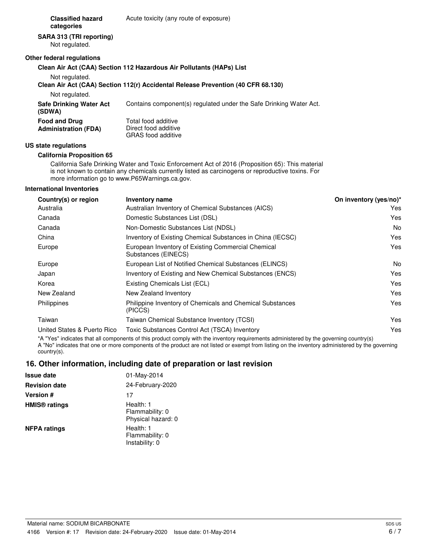**Classified hazard** Acute toxicity (any route of exposure) **categories**

## **SARA 313 (TRI reporting)**

Not regulated.

#### **Other federal regulations**

#### **Clean Air Act (CAA) Section 112 Hazardous Air Pollutants (HAPs) List**

Not regulated.

#### **Clean Air Act (CAA) Section 112(r) Accidental Release Prevention (40 CFR 68.130)**

Not regulated.

| Safe Drinking Water Act<br>(SDWA)                   | Contains component(s) regulated under the Safe Drinking Water Act.       |
|-----------------------------------------------------|--------------------------------------------------------------------------|
| <b>Food and Drug</b><br><b>Administration (FDA)</b> | Total food additive<br>Direct food additive<br><b>GRAS</b> food additive |

#### **US state regulations**

#### **California Proposition 65**

California Safe Drinking Water and Toxic Enforcement Act of 2016 (Proposition 65): This material is not known to contain any chemicals currently listed as carcinogens or reproductive toxins. For more information go to www.P65Warnings.ca.gov.

#### **International Inventories**

| Country(s) or region        | <b>Inventory name</b>                                                     | On inventory (yes/no)* |
|-----------------------------|---------------------------------------------------------------------------|------------------------|
| Australia                   | Australian Inventory of Chemical Substances (AICS)                        | Yes                    |
| Canada                      | Domestic Substances List (DSL)                                            | Yes                    |
| Canada                      | Non-Domestic Substances List (NDSL)                                       | No                     |
| China                       | Inventory of Existing Chemical Substances in China (IECSC)                | Yes                    |
| Europe                      | European Inventory of Existing Commercial Chemical<br>Substances (EINECS) | Yes                    |
| Europe                      | European List of Notified Chemical Substances (ELINCS)                    | No                     |
| Japan                       | Inventory of Existing and New Chemical Substances (ENCS)                  | Yes                    |
| Korea                       | Existing Chemicals List (ECL)                                             | Yes                    |
| New Zealand                 | New Zealand Inventory                                                     | Yes                    |
| Philippines                 | Philippine Inventory of Chemicals and Chemical Substances<br>(PICCS)      | Yes                    |
| Taiwan                      | Taiwan Chemical Substance Inventory (TCSI)                                | Yes                    |
| United States & Puerto Rico | Toxic Substances Control Act (TSCA) Inventory                             | Yes                    |
|                             |                                                                           |                        |

\*A "Yes" indicates that all components of this product comply with the inventory requirements administered by the governing country(s) A "No" indicates that one or more components of the product are not listed or exempt from listing on the inventory administered by the governing country(s).

## **16. Other information, including date of preparation or last revision**

| <b>Issue date</b>               | 01-May-2014                                        |
|---------------------------------|----------------------------------------------------|
| <b>Revision date</b>            | 24-February-2020                                   |
| <b>Version #</b>                | 17                                                 |
| <b>HMIS<sup>®</sup></b> ratings | Health: 1<br>Flammability: 0<br>Physical hazard: 0 |
| <b>NFPA ratings</b>             | Health: 1<br>Flammability: 0<br>Instability: 0     |